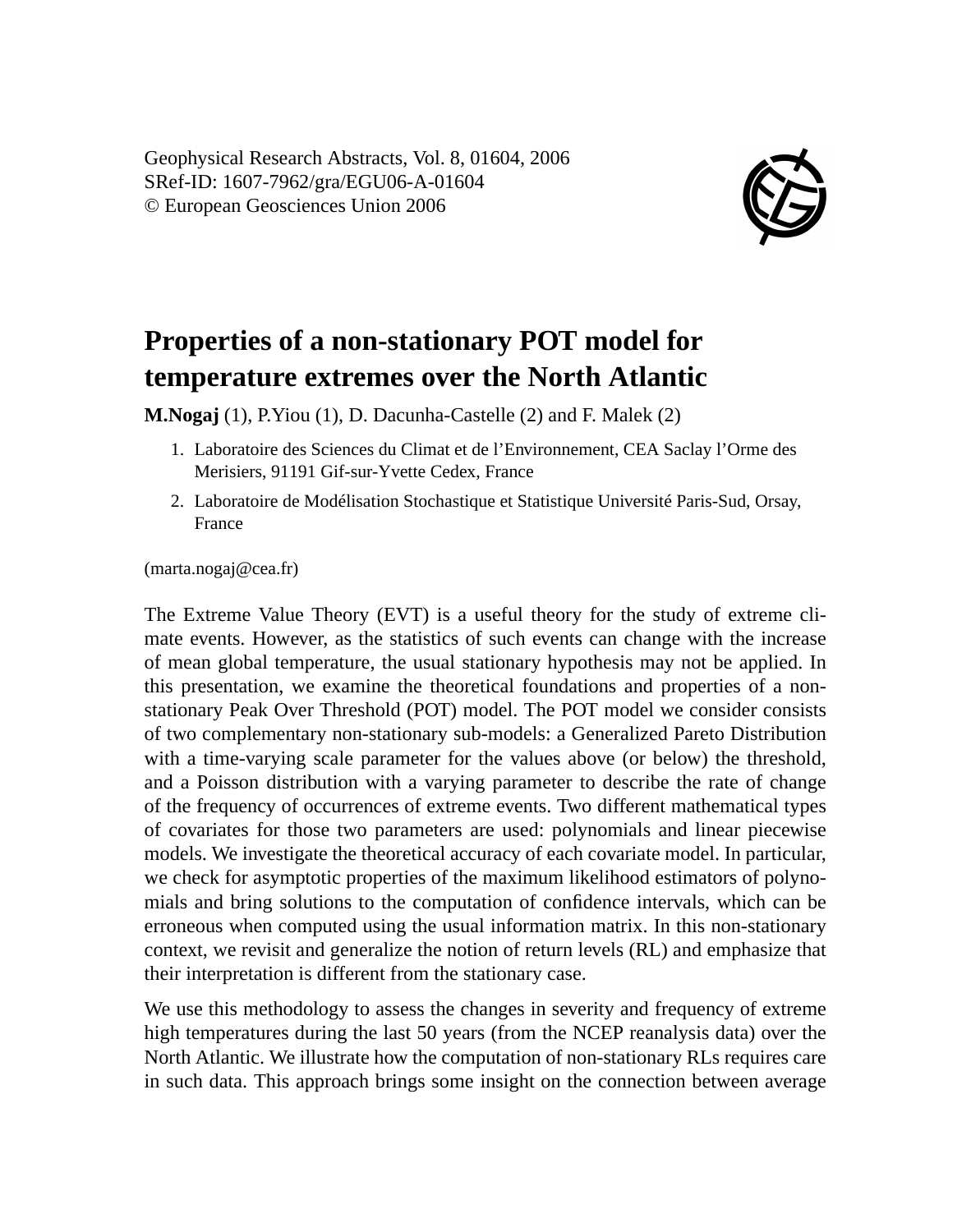Geophysical Research Abstracts, Vol. 8, 01604, 2006 SRef-ID: 1607-7962/gra/EGU06-A-01604 © European Geosciences Union 2006



## **Properties of a non-stationary POT model for temperature extremes over the North Atlantic**

**M.Nogaj** (1), P.Yiou (1), D. Dacunha-Castelle (2) and F. Malek (2)

- 1. Laboratoire des Sciences du Climat et de l'Environnement, CEA Saclay l'Orme des Merisiers, 91191 Gif-sur-Yvette Cedex, France
- 2. Laboratoire de Modélisation Stochastique et Statistique Université Paris-Sud, Orsay, France

(marta.nogaj@cea.fr)

The Extreme Value Theory (EVT) is a useful theory for the study of extreme climate events. However, as the statistics of such events can change with the increase of mean global temperature, the usual stationary hypothesis may not be applied. In this presentation, we examine the theoretical foundations and properties of a nonstationary Peak Over Threshold (POT) model. The POT model we consider consists of two complementary non-stationary sub-models: a Generalized Pareto Distribution with a time-varying scale parameter for the values above (or below) the threshold, and a Poisson distribution with a varying parameter to describe the rate of change of the frequency of occurrences of extreme events. Two different mathematical types of covariates for those two parameters are used: polynomials and linear piecewise models. We investigate the theoretical accuracy of each covariate model. In particular, we check for asymptotic properties of the maximum likelihood estimators of polynomials and bring solutions to the computation of confidence intervals, which can be erroneous when computed using the usual information matrix. In this non-stationary context, we revisit and generalize the notion of return levels (RL) and emphasize that their interpretation is different from the stationary case.

We use this methodology to assess the changes in severity and frequency of extreme high temperatures during the last 50 years (from the NCEP reanalysis data) over the North Atlantic. We illustrate how the computation of non-stationary RLs requires care in such data. This approach brings some insight on the connection between average